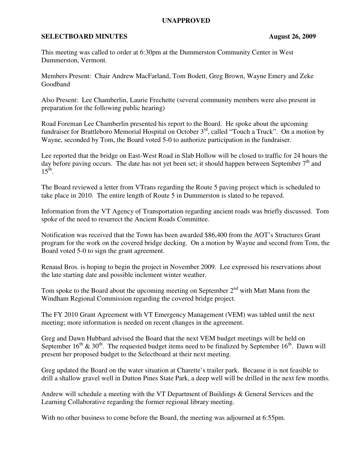## **UNAPPROVED**

## **SELECTBOARD MINUTES** August 26, 2009

This meeting was called to order at 6:30pm at the Dummerston Community Center in West Dummerston, Vermont.

Members Present: Chair Andrew MacFarland, Tom Bodett, Greg Brown, Wayne Emery and Zeke Goodband

Also Present: Lee Chamberlin, Laurie Frechette (several community members were also present in preparation for the following public hearing)

Road Foreman Lee Chamberlin presented his report to the Board. He spoke about the upcoming fundraiser for Brattleboro Memorial Hospital on October 3<sup>rd</sup>, called "Touch a Truck". On a motion by Wayne, seconded by Tom, the Board voted 5-0 to authorize participation in the fundraiser.

Lee reported that the bridge on East-West Road in Slab Hollow will be closed to traffic for 24 hours the day before paving occurs. The date has not yet been set; it should happen between September  $7<sup>th</sup>$  and  $15^{\text{th}}$ .

The Board reviewed a letter from VTrans regarding the Route 5 paving project which is scheduled to take place in 2010. The entire length of Route 5 in Dummerston is slated to be repaved.

Information from the VT Agency of Transportation regarding ancient roads was briefly discussed. Tom spoke of the need to resurrect the Ancient Roads Committee.

Notification was received that the Town has been awarded \$86,400 from the AOT's Structures Grant program for the work on the covered bridge decking. On a motion by Wayne and second from Tom, the Board voted 5-0 to sign the grant agreement.

Renaud Bros. is hoping to begin the project in November 2009. Lee expressed his reservations about the late starting date and possible inclement winter weather.

Tom spoke to the Board about the upcoming meeting on September  $2<sup>nd</sup>$  with Matt Mann from the Windham Regional Commission regarding the covered bridge project.

The FY 2010 Grant Agreement with VT Emergency Management (VEM) was tabled until the next meeting; more information is needed on recent changes in the agreement.

Greg and Dawn Hubbard advised the Board that the next VEM budget meetings will be held on September  $16^{th}$  &  $30^{th}$ . The requested budget items need to be finalized by September  $16^{th}$ . Dawn will present her proposed budget to the Selectboard at their next meeting.

Greg updated the Board on the water situation at Charette's trailer park. Because it is not feasible to drill a shallow gravel well in Dutton Pines State Park, a deep well will be drilled in the next few months.

Andrew will schedule a meeting with the VT Department of Buildings & General Services and the Learning Collaborative regarding the former regional library meeting.

With no other business to come before the Board, the meeting was adjourned at 6:55pm.